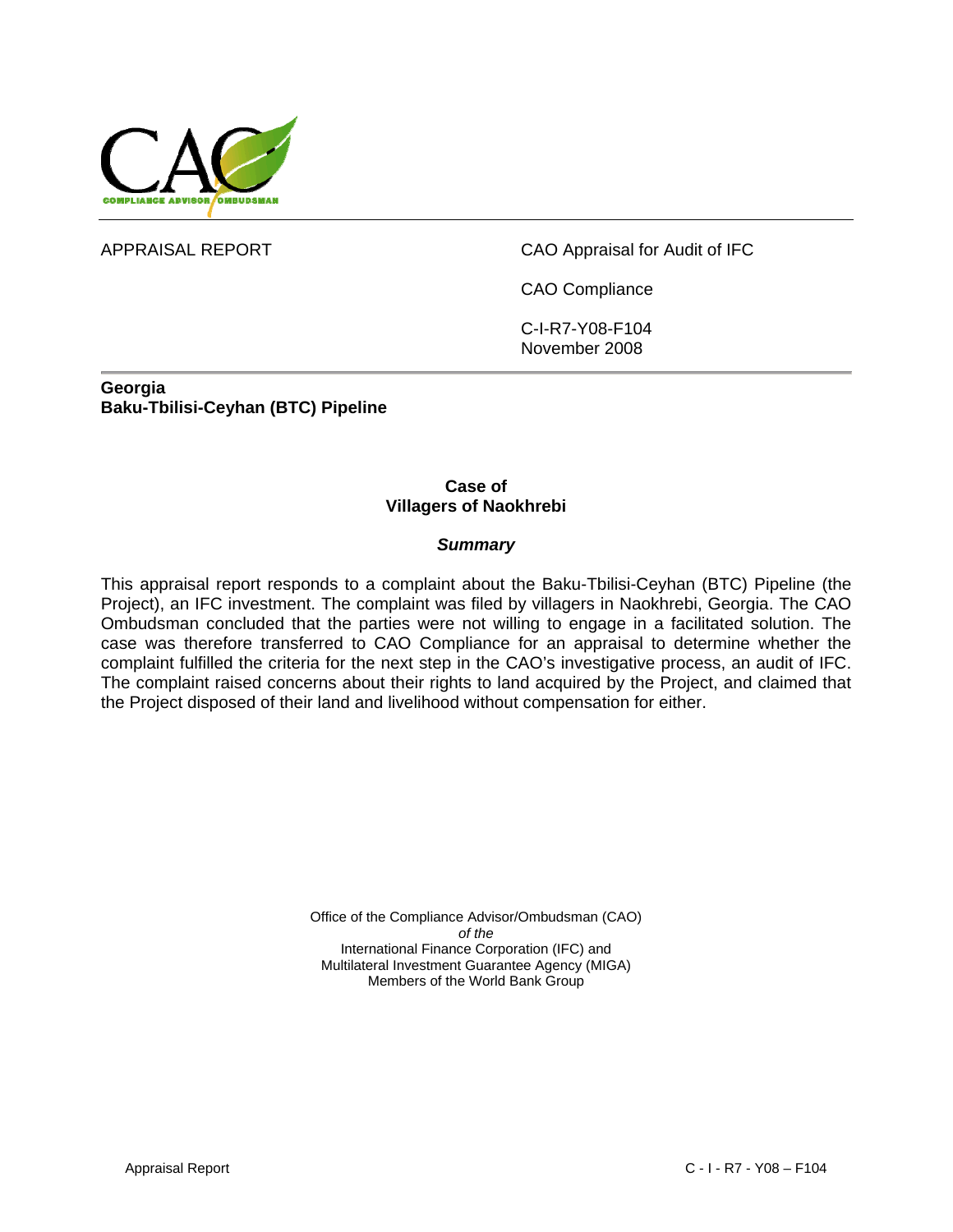

APPRAISAL REPORT CAO Appraisal for Audit of IFC

CAO Compliance

C-I-R7-Y08-F104 November 2008

**Georgia Baku-Tbilisi-Ceyhan (BTC) Pipeline** 

#### **Case of Villagers of Naokhrebi**

#### *Summary*

This appraisal report responds to a complaint about the Baku-Tbilisi-Ceyhan (BTC) Pipeline (the Project), an IFC investment. The complaint was filed by villagers in Naokhrebi, Georgia. The CAO Ombudsman concluded that the parties were not willing to engage in a facilitated solution. The case was therefore transferred to CAO Compliance for an appraisal to determine whether the complaint fulfilled the criteria for the next step in the CAO's investigative process, an audit of IFC. The complaint raised concerns about their rights to land acquired by the Project, and claimed that the Project disposed of their land and livelihood without compensation for either.

> Office of the Compliance Advisor/Ombudsman (CAO) *of the*  International Finance Corporation (IFC) and Multilateral Investment Guarantee Agency (MIGA) Members of the World Bank Group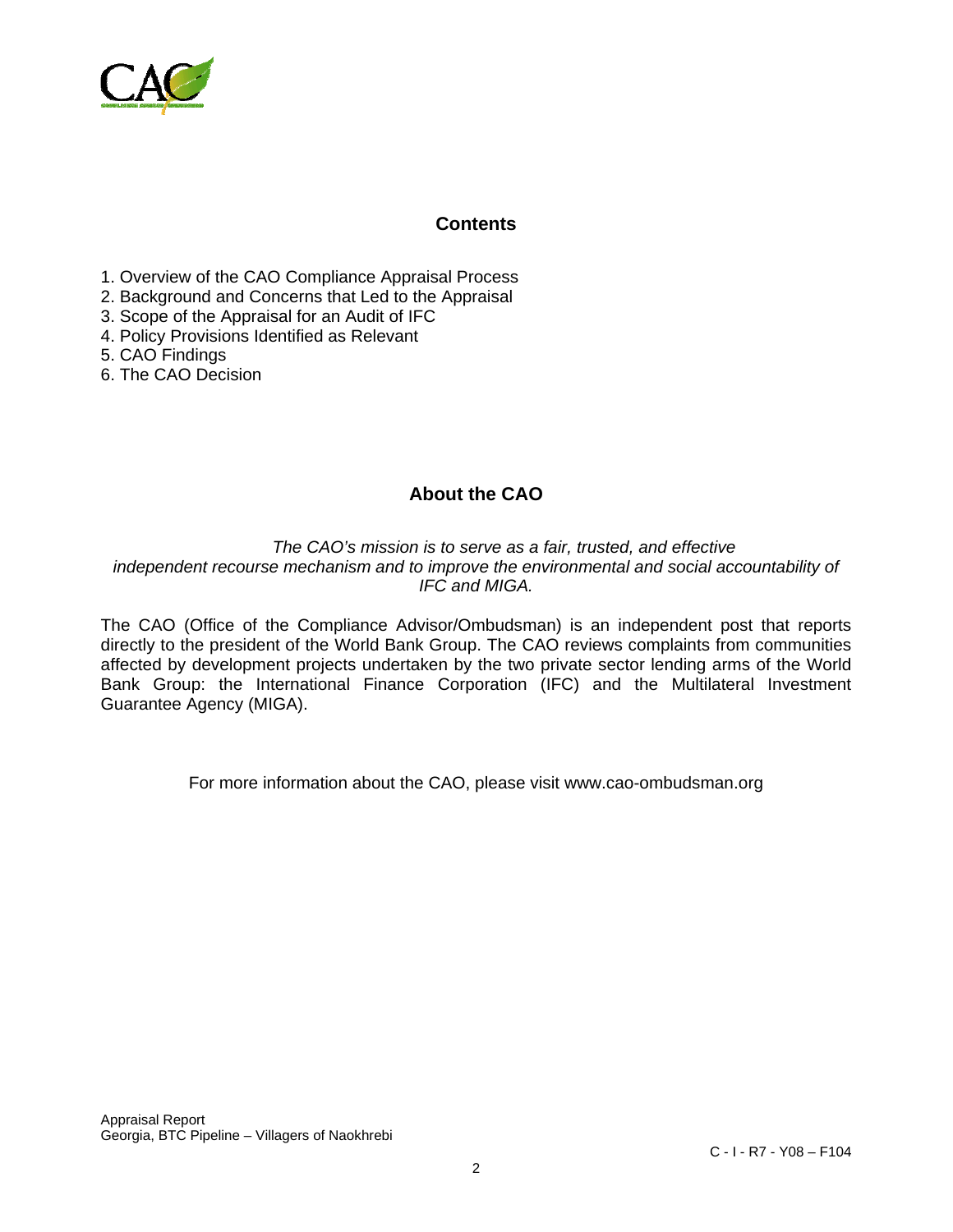

#### **Contents**

- 1. Overview of the CAO Compliance Appraisal Process
- 2. Background and Concerns that Led to the Appraisal
- 3. Scope of the Appraisal for an Audit of IFC
- 4. Policy Provisions Identified as Relevant
- 5. CAO Findings
- 6. The CAO Decision

# **About the CAO**

*The CAO's mission is to serve as a fair, trusted, and effective independent recourse mechanism and to improve the environmental and social accountability of IFC and MIGA.* 

The CAO (Office of the Compliance Advisor/Ombudsman) is an independent post that reports directly to the president of the World Bank Group. The CAO reviews complaints from communities affected by development projects undertaken by the two private sector lending arms of the World Bank Group: the International Finance Corporation (IFC) and the Multilateral Investment Guarantee Agency (MIGA).

For more information about the CAO, please visit www.cao-ombudsman.org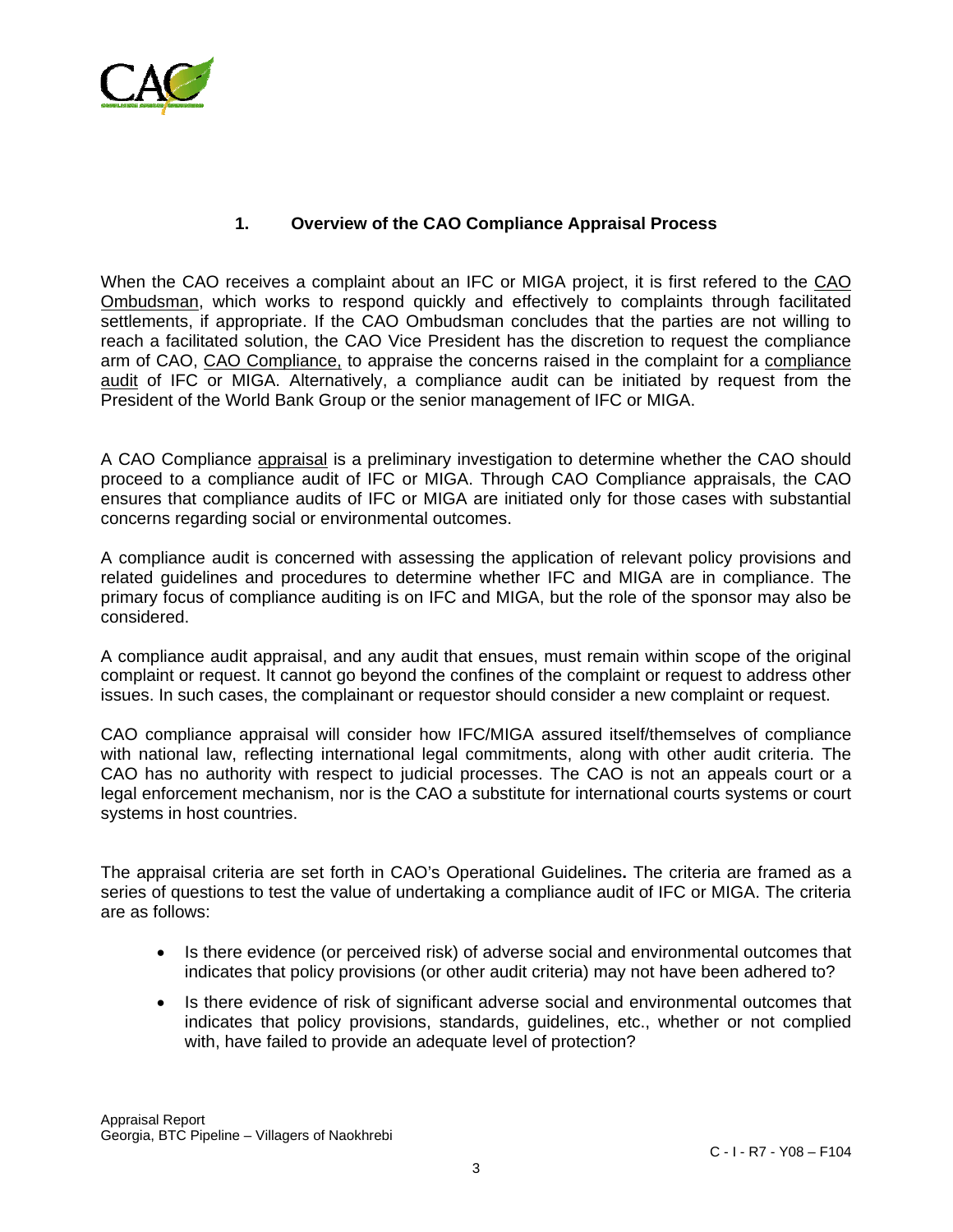

## **1. Overview of the CAO Compliance Appraisal Process**

When the CAO receives a complaint about an IFC or MIGA project, it is first refered to the CAO Ombudsman, which works to respond quickly and effectively to complaints through facilitated settlements, if appropriate. If the CAO Ombudsman concludes that the parties are not willing to reach a facilitated solution, the CAO Vice President has the discretion to request the compliance arm of CAO, CAO Compliance, to appraise the concerns raised in the complaint for a compliance audit of IFC or MIGA. Alternatively, a compliance audit can be initiated by request from the President of the World Bank Group or the senior management of IFC or MIGA.

A CAO Compliance appraisal is a preliminary investigation to determine whether the CAO should proceed to a compliance audit of IFC or MIGA. Through CAO Compliance appraisals, the CAO ensures that compliance audits of IFC or MIGA are initiated only for those cases with substantial concerns regarding social or environmental outcomes.

A compliance audit is concerned with assessing the application of relevant policy provisions and related guidelines and procedures to determine whether IFC and MIGA are in compliance. The primary focus of compliance auditing is on IFC and MIGA, but the role of the sponsor may also be considered.

A compliance audit appraisal, and any audit that ensues, must remain within scope of the original complaint or request. It cannot go beyond the confines of the complaint or request to address other issues. In such cases, the complainant or requestor should consider a new complaint or request.

CAO compliance appraisal will consider how IFC/MIGA assured itself/themselves of compliance with national law, reflecting international legal commitments, along with other audit criteria. The CAO has no authority with respect to judicial processes. The CAO is not an appeals court or a legal enforcement mechanism, nor is the CAO a substitute for international courts systems or court systems in host countries.

The appraisal criteria are set forth in CAO's Operational Guidelines**.** The criteria are framed as a series of questions to test the value of undertaking a compliance audit of IFC or MIGA. The criteria are as follows:

- Is there evidence (or perceived risk) of adverse social and environmental outcomes that indicates that policy provisions (or other audit criteria) may not have been adhered to?
- Is there evidence of risk of significant adverse social and environmental outcomes that indicates that policy provisions, standards, guidelines, etc., whether or not complied with, have failed to provide an adequate level of protection?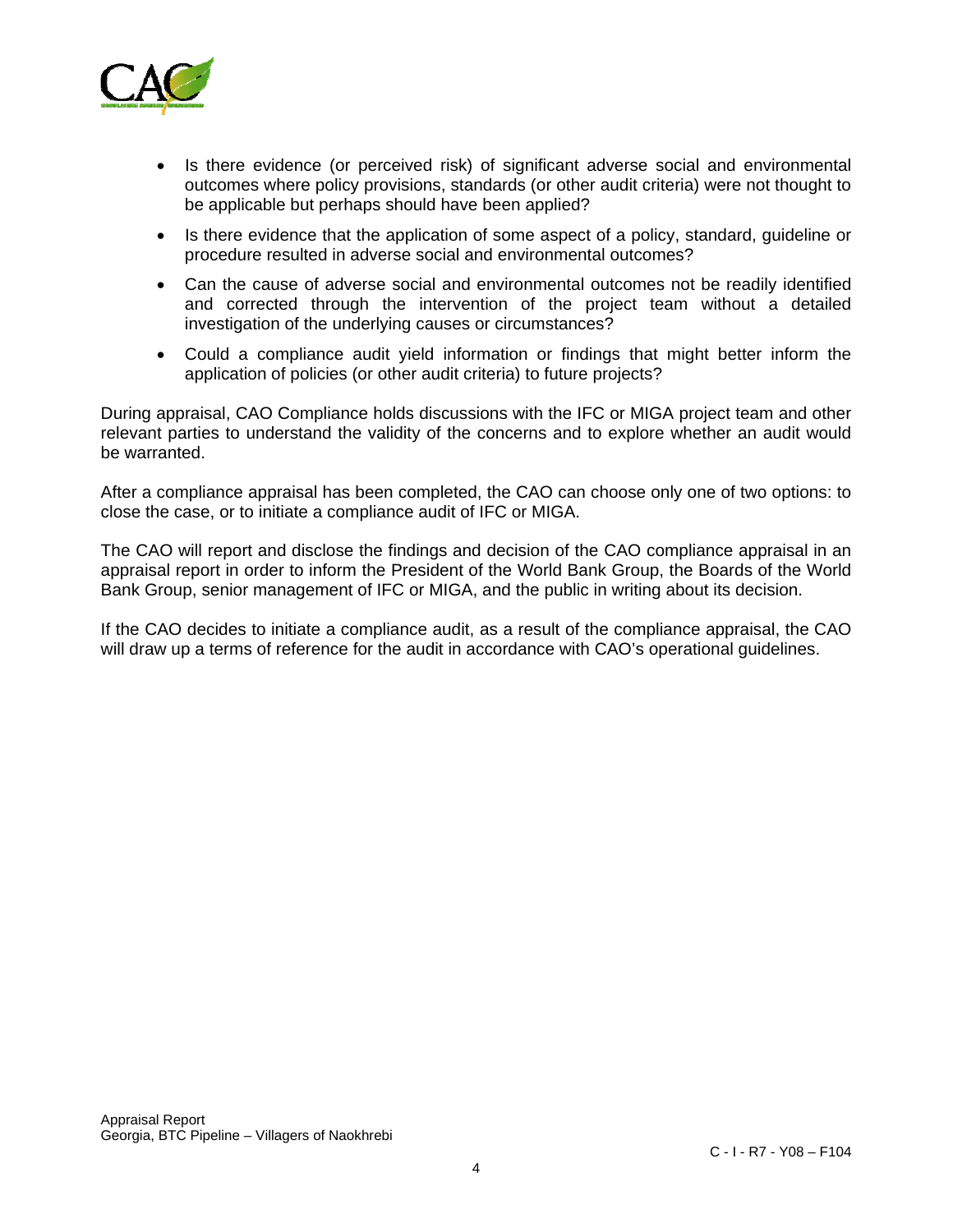

- Is there evidence (or perceived risk) of significant adverse social and environmental outcomes where policy provisions, standards (or other audit criteria) were not thought to be applicable but perhaps should have been applied?
- Is there evidence that the application of some aspect of a policy, standard, guideline or procedure resulted in adverse social and environmental outcomes?
- Can the cause of adverse social and environmental outcomes not be readily identified and corrected through the intervention of the project team without a detailed investigation of the underlying causes or circumstances?
- Could a compliance audit yield information or findings that might better inform the application of policies (or other audit criteria) to future projects?

During appraisal, CAO Compliance holds discussions with the IFC or MIGA project team and other relevant parties to understand the validity of the concerns and to explore whether an audit would be warranted.

After a compliance appraisal has been completed, the CAO can choose only one of two options: to close the case, or to initiate a compliance audit of IFC or MIGA.

The CAO will report and disclose the findings and decision of the CAO compliance appraisal in an appraisal report in order to inform the President of the World Bank Group, the Boards of the World Bank Group, senior management of IFC or MIGA, and the public in writing about its decision.

If the CAO decides to initiate a compliance audit, as a result of the compliance appraisal, the CAO will draw up a terms of reference for the audit in accordance with CAO's operational guidelines.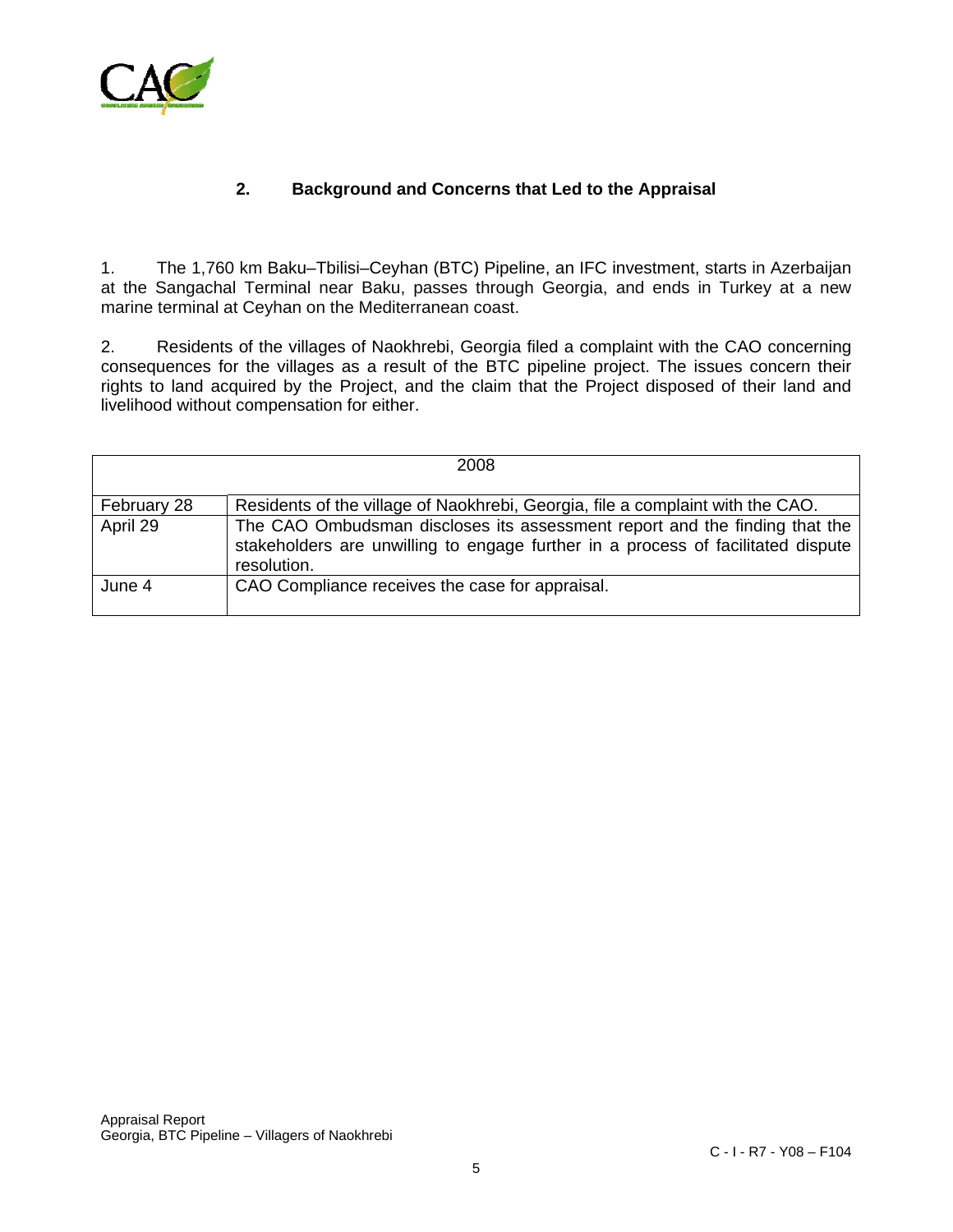

## **2. Background and Concerns that Led to the Appraisal**

1. The 1,760 km Baku–Tbilisi–Ceyhan (BTC) Pipeline, an IFC investment, starts in Azerbaijan at the Sangachal Terminal near Baku, passes through Georgia, and ends in Turkey at a new marine terminal at Ceyhan on the Mediterranean coast.

2. Residents of the villages of Naokhrebi, Georgia filed a complaint with the CAO concerning consequences for the villages as a result of the BTC pipeline project. The issues concern their rights to land acquired by the Project, and the claim that the Project disposed of their land and livelihood without compensation for either.

|             | 2008                                                                                                                                                                          |
|-------------|-------------------------------------------------------------------------------------------------------------------------------------------------------------------------------|
|             |                                                                                                                                                                               |
| February 28 | Residents of the village of Naokhrebi, Georgia, file a complaint with the CAO.                                                                                                |
| April 29    | The CAO Ombudsman discloses its assessment report and the finding that the<br>stakeholders are unwilling to engage further in a process of facilitated dispute<br>resolution. |
| June 4      | CAO Compliance receives the case for appraisal.                                                                                                                               |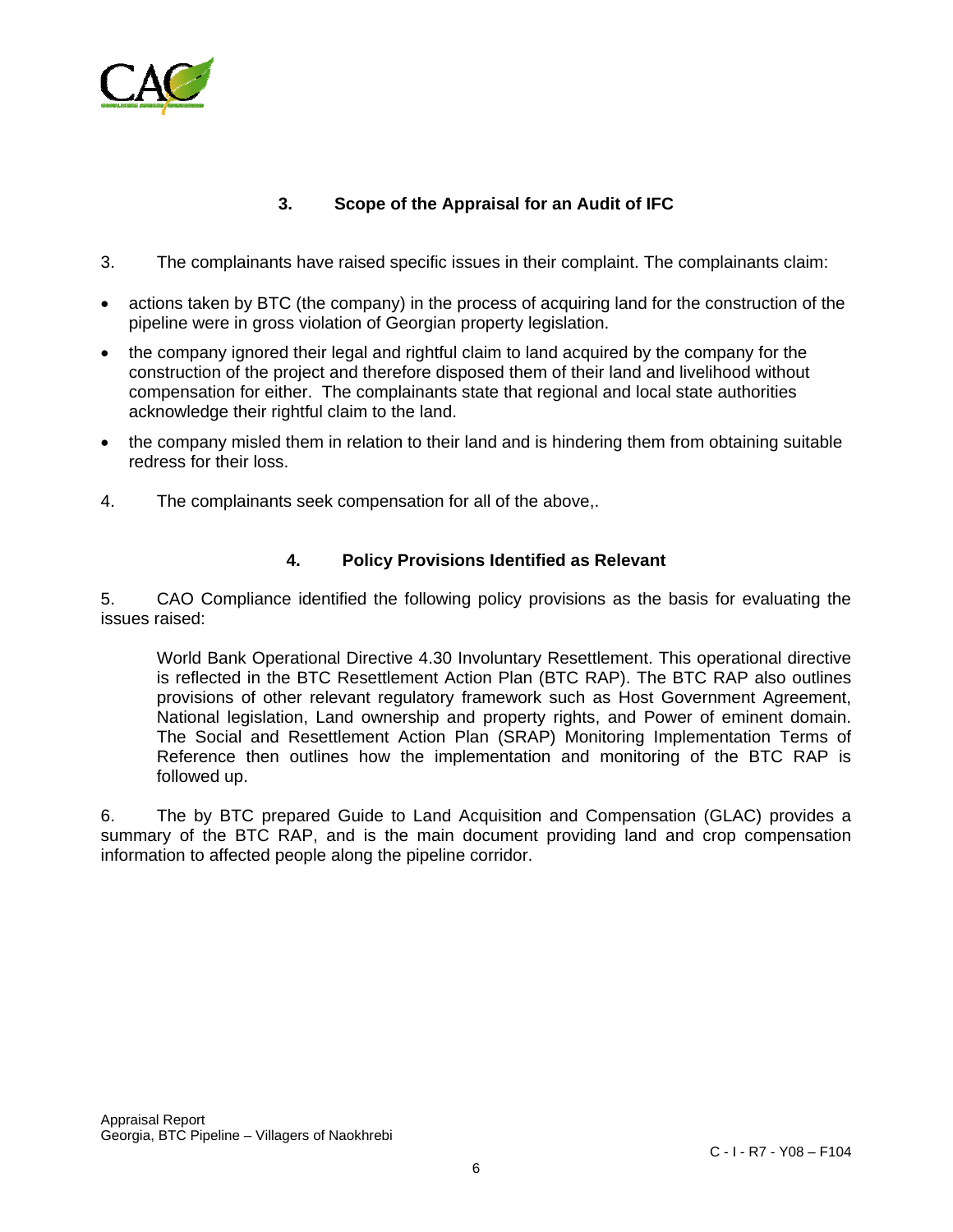

# **3. Scope of the Appraisal for an Audit of IFC**

- 3. The complainants have raised specific issues in their complaint. The complainants claim:
- actions taken by BTC (the company) in the process of acquiring land for the construction of the pipeline were in gross violation of Georgian property legislation.
- the company ignored their legal and rightful claim to land acquired by the company for the construction of the project and therefore disposed them of their land and livelihood without compensation for either. The complainants state that regional and local state authorities acknowledge their rightful claim to the land.
- the company misled them in relation to their land and is hindering them from obtaining suitable redress for their loss.
- 4. The complainants seek compensation for all of the above,.

#### **4. Policy Provisions Identified as Relevant**

5. CAO Compliance identified the following policy provisions as the basis for evaluating the issues raised:

World Bank Operational Directive 4.30 Involuntary Resettlement. This operational directive is reflected in the BTC Resettlement Action Plan (BTC RAP). The BTC RAP also outlines provisions of other relevant regulatory framework such as Host Government Agreement, National legislation, Land ownership and property rights, and Power of eminent domain. The Social and Resettlement Action Plan (SRAP) Monitoring Implementation Terms of Reference then outlines how the implementation and monitoring of the BTC RAP is followed up.

6. The by BTC prepared Guide to Land Acquisition and Compensation (GLAC) provides a summary of the BTC RAP, and is the main document providing land and crop compensation information to affected people along the pipeline corridor.